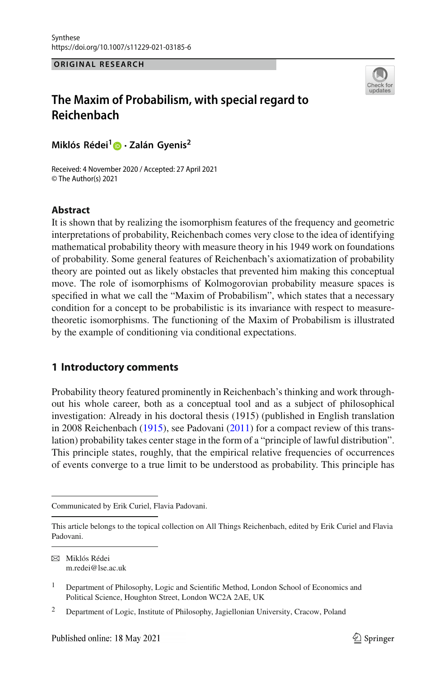#### **ORIGINAL RESEARCH**



# **The Maxim of Probabilism, with special regard to Reichenbach**

**Miklós Rédei[1](http://orcid.org/0000-0001-5298-1443) · Zalán Gyenis<sup>2</sup>**

Received: 4 November 2020 / Accepted: 27 April 2021 © The Author(s) 2021

### **Abstract**

It is shown that by realizing the isomorphism features of the frequency and geometric interpretations of probability, Reichenbach comes very close to the idea of identifying mathematical probability theory with measure theory in his 1949 work on foundations of probability. Some general features of Reichenbach's axiomatization of probability theory are pointed out as likely obstacles that prevented him making this conceptual move. The role of isomorphisms of Kolmogorovian probability measure spaces is specified in what we call the "Maxim of Probabilism", which states that a necessary condition for a concept to be probabilistic is its invariance with respect to measuretheoretic isomorphisms. The functioning of the Maxim of Probabilism is illustrated by the example of conditioning via conditional expectations.

# **1 Introductory comments**

Probability theory featured prominently in Reichenbach's thinking and work throughout his whole career, both as a conceptual tool and as a subject of philosophical investigation: Already in his doctoral thesis (1915) (published in English translation in 2008 Reichenbac[h](#page-17-0) [\(1915](#page-17-0)), see Padovan[i](#page-16-0) [\(2011\)](#page-16-0) for a compact review of this translation) probability takes center stage in the form of a "principle of lawful distribution". This principle states, roughly, that the empirical relative frequencies of occurrences of events converge to a true limit to be understood as probability. This principle has

B Miklós Rédei m.redei@lse.ac.uk

Communicated by Erik Curiel, Flavia Padovani.

This article belongs to the topical collection on All Things Reichenbach, edited by Erik Curiel and Flavia Padovani.

<sup>1</sup> Department of Philosophy, Logic and Scientific Method, London School of Economics and Political Science, Houghton Street, London WC2A 2AE, UK

<sup>2</sup> Department of Logic, Institute of Philosophy, Jagiellonian University, Cracow, Poland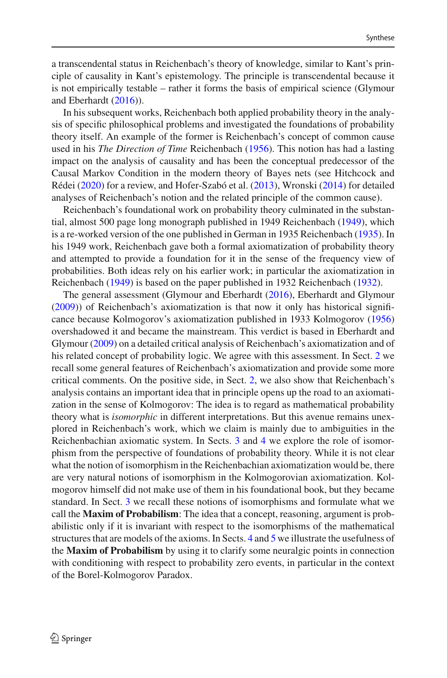a transcendental status in Reichenbach's theory of knowledge, similar to Kant's principle of causality in Kant's epistemology. The principle is transcendental because it is not empirically testable – rather it forms the basis of empirical science (Glymour and Eberhard[t](#page-16-1) [\(2016\)](#page-16-1)).

In his subsequent works, Reichenbach both applied probability theory in the analysis of specific philosophical problems and investigated the foundations of probability theory itself. An example of the former is Reichenbach's concept of common cause used in his *The Direction of Time* Reichenbac[h](#page-17-1) [\(1956](#page-17-1)). This notion has had a lasting impact on the analysis of causality and has been the conceptual predecessor of the Causal Markov Condition in the modern theory of Bayes nets (see Hitchcock and Réde[i](#page-16-2) [\(2020](#page-16-2)) for a review, and Hofer-Szabó et al[.](#page-16-3) [\(2013\)](#page-16-3), Wronsk[i](#page-17-2) [\(2014](#page-17-2)) for detailed analyses of Reichenbach's notion and the related principle of the common cause).

Reichenbach's foundational work on probability theory culminated in the substantial, almost 500 page long monograph published in 1949 Reichenbac[h](#page-17-3) [\(1949](#page-17-3)), which is a re-worked version of the one published in German in 1935 Reichenbac[h](#page-17-4) [\(1935](#page-17-4)). In his 1949 work, Reichenbach gave both a formal axiomatization of probability theory and attempted to provide a foundation for it in the sense of the frequency view of probabilities. Both ideas rely on his earlier work; in particular the axiomatization in Reichenbac[h](#page-17-3) [\(1949\)](#page-17-3) is based on the paper published in 1932 Reichenbac[h](#page-16-4) [\(1932\)](#page-16-4).

The general assessment (Glymour and Eberhard[t](#page-16-1) [\(2016](#page-16-1)), Eberhardt and Glymou[r](#page-16-5) [\(2009\)](#page-16-5)) of Reichenbach's axiomatization is that now it only has historical significance because Kolmogorov's axiomatization published in 1933 Kolmogoro[v](#page-16-6) [\(1956\)](#page-16-6) overshadowed it and became the mainstream. This verdict is based in Eberhardt and Glymou[r](#page-16-5) [\(2009\)](#page-16-5) on a detailed critical analysis of Reichenbach's axiomatization and of his related concept of probability logic. We agree with this assessment. In Sect. [2](#page-2-0) we recall some general features of Reichenbach's axiomatization and provide some more critical comments. On the positive side, in Sect. [2,](#page-2-0) we also show that Reichenbach's analysis contains an important idea that in principle opens up the road to an axiomatization in the sense of Kolmogorov: The idea is to regard as mathematical probability theory what is *isomorphic* in different interpretations. But this avenue remains unexplored in Reichenbach's work, which we claim is mainly due to ambiguities in the Reichenbachian axiomatic system. In Sects. [3](#page-6-0) and [4](#page-10-0) we explore the role of isomorphism from the perspective of foundations of probability theory. While it is not clear what the notion of isomorphism in the Reichenbachian axiomatization would be, there are very natural notions of isomorphism in the Kolmogorovian axiomatization. Kolmogorov himself did not make use of them in his foundational book, but they became standard. In Sect. [3](#page-6-0) we recall these notions of isomorphisms and formulate what we call the **Maxim of Probabilism**: The idea that a concept, reasoning, argument is probabilistic only if it is invariant with respect to the isomorphisms of the mathematical structures that are models of the axioms. In Sects. [4](#page-10-0) and [5](#page-13-0) we illustrate the usefulness of the **Maxim of Probabilism** by using it to clarify some neuralgic points in connection with conditioning with respect to probability zero events, in particular in the context of the Borel-Kolmogorov Paradox.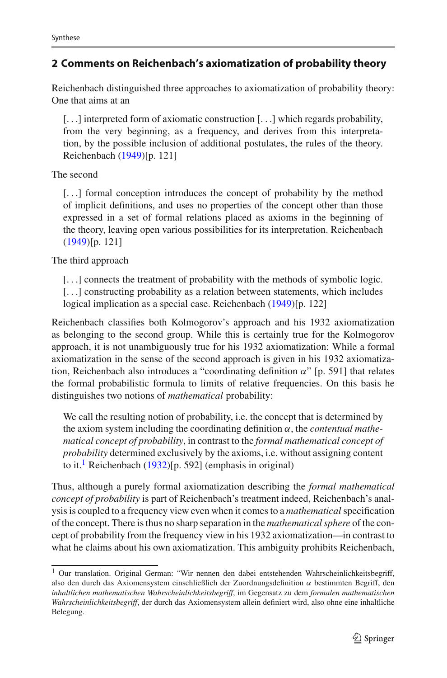# <span id="page-2-0"></span>**2 Comments on Reichenbach's axiomatization of probability theory**

Reichenbach distinguished three approaches to axiomatization of probability theory: One that aims at an

[...] interpreted form of axiomatic construction [...] which regards probability, from the very beginning, as a frequency, and derives from this interpretation, by the possible inclusion of additional postulates, the rules of the theory. Reichenbach [\(1949](#page-17-3))[p. 121]

The second

[...] formal conception introduces the concept of probability by the method of implicit definitions, and uses no properties of the concept other than those expressed in a set of formal relations placed as axioms in the beginning of the theory, leaving open various possibilities for its interpretation. Reichenbac[h](#page-17-3) [\(1949](#page-17-3))[p. 121]

The third approach

[...] connects the treatment of probability with the methods of symbolic logic.

[...] constructing probability as a relation between statements, which includes logical implication as a special case. Reichenbac[h](#page-17-3) [\(1949\)](#page-17-3)[p. 122]

Reichenbach classifies both Kolmogorov's approach and his 1932 axiomatization as belonging to the second group. While this is certainly true for the Kolmogorov approach, it is not unambiguously true for his 1932 axiomatization: While a formal axiomatization in the sense of the second approach is given in his 1932 axiomatization, Reichenbach also introduces a "coordinating definition  $\alpha$ " [p. 591] that relates the formal probabilistic formula to limits of relative frequencies. On this basis he distinguishes two notions of *mathematical* probability:

We call the resulting notion of probability, i.e. the concept that is determined by the axiom system including the coordinating definition α, the *contentual mathematical concept of probability*, in contrast to the *formal mathematical concept of probability* determined exclusively by the axioms, i.e. without assigning content to it.<sup>[1](#page-2-1)</sup> Reic[h](#page-16-4)enbach [\(1932](#page-16-4))[p. 592] (emphasis in original)

Thus, although a purely formal axiomatization describing the *formal mathematical concept of probability* is part of Reichenbach's treatment indeed, Reichenbach's analysis is coupled to a frequency view even when it comes to a *mathematical* specification of the concept. There is thus no sharp separation in the *mathematical sphere* of the concept of probability from the frequency view in his 1932 axiomatization—in contrast to what he claims about his own axiomatization. This ambiguity prohibits Reichenbach,

<span id="page-2-1"></span><sup>&</sup>lt;sup>1</sup> Our translation. Original German: "Wir nennen den dabei entstehenden Wahrscheinlichkeitsbegriff, also den durch das Axiomensystem einschließlich der Zuordnungsdefinition  $\alpha$  bestimmten Begriff, den *inhaltlichen mathematischen Wahrscheinlichkeitsbegriff*, im Gegensatz zu dem *formalen mathematischen Wahrscheinlichkeitsbegriff*, der durch das Axiomensystem allein definiert wird, also ohne eine inhaltliche Belegung.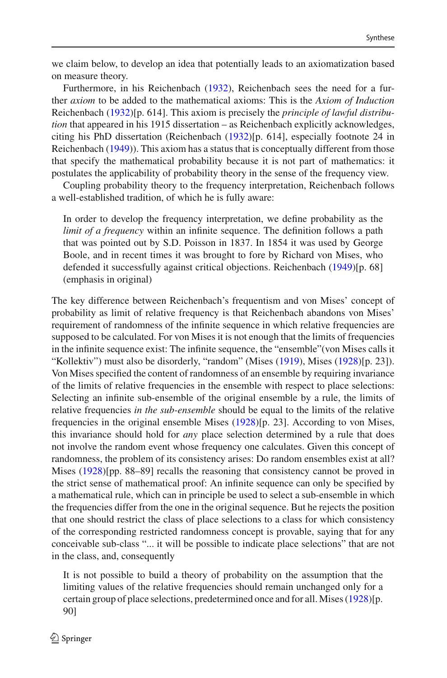we claim below, to develop an idea that potentially leads to an axiomatization based on measure theory.

Furthermore, in his Reichenbac[h](#page-16-4) [\(1932](#page-16-4)), Reichenbach sees the need for a further *axiom* to be added to the mathematical axioms: This is the *Axiom of Induction* Reichenbac[h](#page-16-4) [\(1932\)](#page-16-4)[p. 614]. This axiom is precisely the *principle of lawful distribution* that appeared in his 1915 dissertation – as Reichenbach explicitly acknowledges, citing his PhD dissertation (Reichenbac[h](#page-16-4) [\(1932\)](#page-16-4)[p. 614], especially footnote 24 in Reichenbac[h](#page-17-3) [\(1949](#page-17-3))). This axiom has a status that is conceptually different from those that specify the mathematical probability because it is not part of mathematics: it postulates the applicability of probability theory in the sense of the frequency view.

Coupling probability theory to the frequency interpretation, Reichenbach follows a well-established tradition, of which he is fully aware:

In order to develop the frequency interpretation, we define probability as the *limit of a frequency* within an infinite sequence. The definition follows a path that was pointed out by S.D. Poisson in 1837. In 1854 it was used by George Boole, and in recent times it was brought to fore by Richard von Mises, who defended it successfully against critical objections. Reichenbac[h](#page-17-3) [\(1949\)](#page-17-3)[p. 68] (emphasis in original)

The key difference between Reichenbach's frequentism and von Mises' concept of probability as limit of relative frequency is that Reichenbach abandons von Mises' requirement of randomness of the infinite sequence in which relative frequencies are supposed to be calculated. For von Mises it is not enough that the limits of frequencies in the infinite sequence exist: The infinite sequence, the "ensemble"(von Mises calls it "Kollektiv") must also be disorderly, "random" (Mises [\(1919](#page-17-5)), Mise[s](#page-17-6) [\(1928](#page-17-6))[p. 23]). Von Mises specified the content of randomness of an ensemble by requiring invariance of the limits of relative frequencies in the ensemble with respect to place selections: Selecting an infinite sub-ensemble of the original ensemble by a rule, the limits of relative frequencies *in the sub-ensemble* should be equal to the limits of the relative frequencies in the original ensemble Mise[s](#page-17-6) [\(1928](#page-17-6))[p. 23]. According to von Mises, this invariance should hold for *any* place selection determined by a rule that does not involve the random event whose frequency one calculates. Given this concept of randomness, the problem of its consistency arises: Do random ensembles exist at all? Mi[s](#page-17-6)es [\(1928\)](#page-17-6)[pp. 88–89] recalls the reasoning that consistency cannot be proved in the strict sense of mathematical proof: An infinite sequence can only be specified by a mathematical rule, which can in principle be used to select a sub-ensemble in which the frequencies differ from the one in the original sequence. But he rejects the position that one should restrict the class of place selections to a class for which consistency of the corresponding restricted randomness concept is provable, saying that for any conceivable sub-class "... it will be possible to indicate place selections" that are not in the class, and, consequently

It is not possible to build a theory of probability on the assumption that the limiting values of the relative frequencies should remain unchanged only for a certain group of place selections, predetermined once and for all. Mise[s](#page-17-6) [\(1928\)](#page-17-6)[p. 90]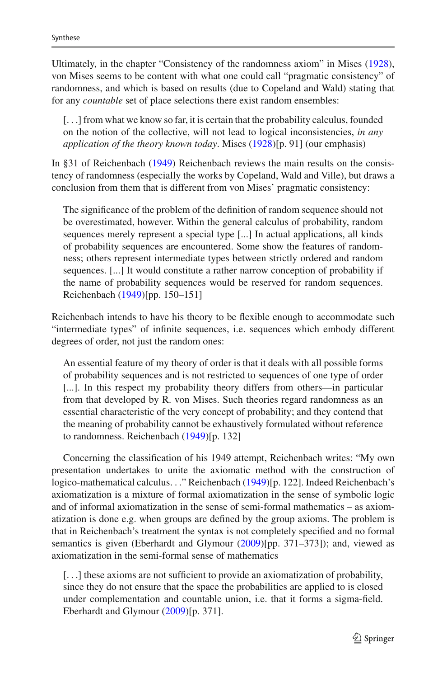Ultimately, in the chapter "Consistency of the randomness axiom" in Mise[s](#page-17-6) [\(1928](#page-17-6)), von Mises seems to be content with what one could call "pragmatic consistency" of randomness, and which is based on results (due to Copeland and Wald) stating that for any *countable* set of place selections there exist random ensembles:

[...] from what we know so far, it is certain that the probability calculus, founded on the notion of the collective, will not lead to logical inconsistencies, *in any application of the theory known today*. Mise[s](#page-17-6) [\(1928\)](#page-17-6)[p. 91] (our emphasis)

In §31 of Reichenbac[h](#page-17-3) [\(1949](#page-17-3)) Reichenbach reviews the main results on the consistency of randomness (especially the works by Copeland, Wald and Ville), but draws a conclusion from them that is different from von Mises' pragmatic consistency:

The significance of the problem of the definition of random sequence should not be overestimated, however. Within the general calculus of probability, random sequences merely represent a special type [...] In actual applications, all kinds of probability sequences are encountered. Some show the features of randomness; others represent intermediate types between strictly ordered and random sequences. [...] It would constitute a rather narrow conception of probability if the name of probability sequences would be reserved for random sequences. Reichenbach [\(1949](#page-17-3))[pp. 150–151]

Reichenbach intends to have his theory to be flexible enough to accommodate such "intermediate types" of infinite sequences, i.e. sequences which embody different degrees of order, not just the random ones:

An essential feature of my theory of order is that it deals with all possible forms of probability sequences and is not restricted to sequences of one type of order [...]. In this respect my probability theory differs from others—in particular from that developed by R. von Mises. Such theories regard randomness as an essential characteristic of the very concept of probability; and they contend that the meaning of probability cannot be exhaustively formulated without reference to randomness. Reichenbac[h](#page-17-3) [\(1949](#page-17-3))[p. 132]

Concerning the classification of his 1949 attempt, Reichenbach writes: "My own presentation undertakes to unite the axiomatic method with the construction of logico-mathematical calculus..." Reichenbac[h](#page-17-3) [\(1949\)](#page-17-3)[p. 122]. Indeed Reichenbach's axiomatization is a mixture of formal axiomatization in the sense of symbolic logic and of informal axiomatization in the sense of semi-formal mathematics – as axiomatization is done e.g. when groups are defined by the group axioms. The problem is that in Reichenbach's treatment the syntax is not completely specified and no formal semantics is given (Eberhardt and Glymour [\(2009](#page-16-5))[pp. 371–373]); and, viewed as axiomatization in the semi-formal sense of mathematics

[...] these axioms are not sufficient to provide an axiomatization of probability, since they do not ensure that the space the probabilities are applied to is closed under complementation and countable union, i.e. that it forms a sigma-field. Eberhardt and Glymou[r](#page-16-5) [\(2009](#page-16-5))[p. 371].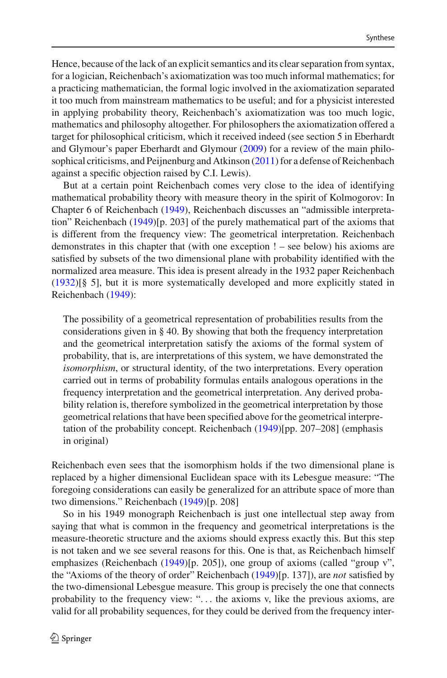Hence, because of the lack of an explicit semantics and its clear separation from syntax, for a logician, Reichenbach's axiomatization was too much informal mathematics; for a practicing mathematician, the formal logic involved in the axiomatization separated it too much from mainstream mathematics to be useful; and for a physicist interested in applying probability theory, Reichenbach's axiomatization was too much logic, mathematics and philosophy altogether. For philosophers the axiomatization offered a target for philosophical criticism, which it received indeed (see section 5 in Eberhardt and Glymour's paper Eberhardt and Glymou[r](#page-16-5) [\(2009\)](#page-16-5) for a review of the main philosophical criticisms, and Peijnenburg and Atkinso[n](#page-16-7) [\(2011\)](#page-16-7) for a defense of Reichenbach against a specific objection raised by C.I. Lewis).

But at a certain point Reichenbach comes very close to the idea of identifying mathematical probability theory with measure theory in the spirit of Kolmogorov: In Chapter 6 of Reichenbac[h](#page-17-3) [\(1949\)](#page-17-3), Reichenbach discusses an "admissible interpretation" Reichenbac[h](#page-17-3) [\(1949\)](#page-17-3)[p. 203] of the purely mathematical part of the axioms that is different from the frequency view: The geometrical interpretation. Reichenbach demonstrates in this chapter that (with one exception ! – see below) his axioms are satisfied by subsets of the two dimensional plane with probability identified with the normalized area measure. This idea is present already in the 1932 paper Reichenbac[h](#page-16-4) [\(1932\)](#page-16-4)[§ 5], but it is more systematically developed and more explicitly stated in Reichenbac[h](#page-17-3) [\(1949\)](#page-17-3):

The possibility of a geometrical representation of probabilities results from the considerations given in § 40. By showing that both the frequency interpretation and the geometrical interpretation satisfy the axioms of the formal system of probability, that is, are interpretations of this system, we have demonstrated the *isomorphism*, or structural identity, of the two interpretations. Every operation carried out in terms of probability formulas entails analogous operations in the frequency interpretation and the geometrical interpretation. Any derived probability relation is, therefore symbolized in the geometrical interpretation by those geometrical relations that have been specified above for the geometrical interpretation of the probability concept. Reichenbac[h](#page-17-3) [\(1949\)](#page-17-3)[pp. 207–208] (emphasis in original)

Reichenbach even sees that the isomorphism holds if the two dimensional plane is replaced by a higher dimensional Euclidean space with its Lebesgue measure: "The foregoing considerations can easily be generalized for an attribute space of more than two dimensions." Reichenbac[h](#page-17-3) [\(1949](#page-17-3))[p. 208]

So in his 1949 monograph Reichenbach is just one intellectual step away from saying that what is common in the frequency and geometrical interpretations is the measure-theoretic structure and the axioms should express exactly this. But this step is not taken and we see several reasons for this. One is that, as Reichenbach himself emphasizes (Reichenbach [\(1949](#page-17-3))[p. 205]), one group of axioms (called "group v", the "Axioms of the theory of order" Reichenbac[h](#page-17-3) [\(1949\)](#page-17-3)[p. 137]), are *not* satisfied by the two-dimensional Lebesgue measure. This group is precisely the one that connects probability to the frequency view: "... the axioms v, like the previous axioms, are valid for all probability sequences, for they could be derived from the frequency inter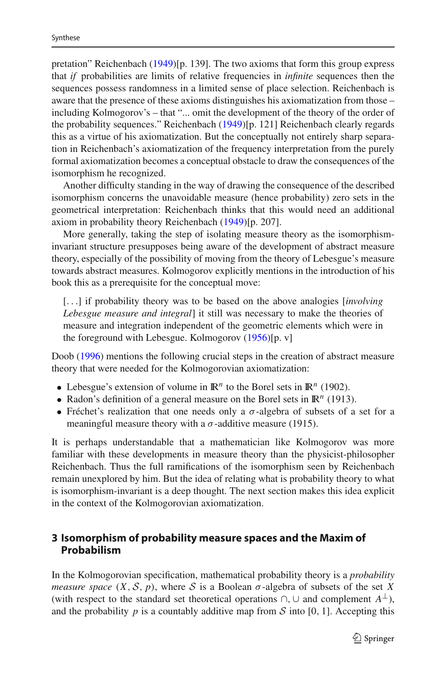pretation" Reichenbac[h](#page-17-3) [\(1949](#page-17-3))[p. 139]. The two axioms that form this group express that *if* probabilities are limits of relative frequencies in *infinite* sequences then the sequences possess randomness in a limited sense of place selection. Reichenbach is aware that the presence of these axioms distinguishes his axiomatization from those – including Kolmogorov's – that "... omit the development of the theory of the order of the probability sequences." Reichenbac[h](#page-17-3) [\(1949](#page-17-3))[p. 121] Reichenbach clearly regards this as a virtue of his axiomatization. But the conceptually not entirely sharp separation in Reichenbach's axiomatization of the frequency interpretation from the purely formal axiomatization becomes a conceptual obstacle to draw the consequences of the isomorphism he recognized.

Another difficulty standing in the way of drawing the consequence of the described isomorphism concerns the unavoidable measure (hence probability) zero sets in the geometrical interpretation: Reichenbach thinks that this would need an additional axiom in probability theory Reichenbac[h](#page-17-3) [\(1949\)](#page-17-3)[p. 207].

More generally, taking the step of isolating measure theory as the isomorphisminvariant structure presupposes being aware of the development of abstract measure theory, especially of the possibility of moving from the theory of Lebesgue's measure towards abstract measures. Kolmogorov explicitly mentions in the introduction of his book this as a prerequisite for the conceptual move:

[...] if probability theory was to be based on the above analogies [*involving Lebesgue measure and integral*] it still was necessary to make the theories of measure and integration independent of the geometric elements which were in the foreground with Lebesgue. Kolmogoro[v](#page-16-6) [\(1956\)](#page-16-6)[p. v]

Doo[b](#page-16-8) [\(1996\)](#page-16-8) mentions the following crucial steps in the creation of abstract measure theory that were needed for the Kolmogorovian axiomatization:

- Lebesgue's extension of volume in  $\mathbb{R}^n$  to the Borel sets in  $\mathbb{R}^n$  (1902).
- Radon's definition of a general measure on the Borel sets in  $\mathbb{R}^n$  (1913).
- Fréchet's realization that one needs only a  $\sigma$ -algebra of subsets of a set for a meaningful measure theory with a  $\sigma$ -additive measure (1915).

It is perhaps understandable that a mathematician like Kolmogorov was more familiar with these developments in measure theory than the physicist-philosopher Reichenbach. Thus the full ramifications of the isomorphism seen by Reichenbach remain unexplored by him. But the idea of relating what is probability theory to what is isomorphism-invariant is a deep thought. The next section makes this idea explicit in the context of the Kolmogorovian axiomatization.

# <span id="page-6-0"></span>**3 Isomorphism of probability measure spaces and the Maxim of Probabilism**

In the Kolmogorovian specification, mathematical probability theory is a *probability measure space*  $(X, \mathcal{S}, p)$ , where  $\mathcal{S}$  is a Boolean  $\sigma$ -algebra of subsets of the set X (with respect to the standard set theoretical operations  $\cap$ ,  $\cup$  and complement  $A^{\perp}$ ), and the probability  $p$  is a countably additive map from  $S$  into [0, 1]. Accepting this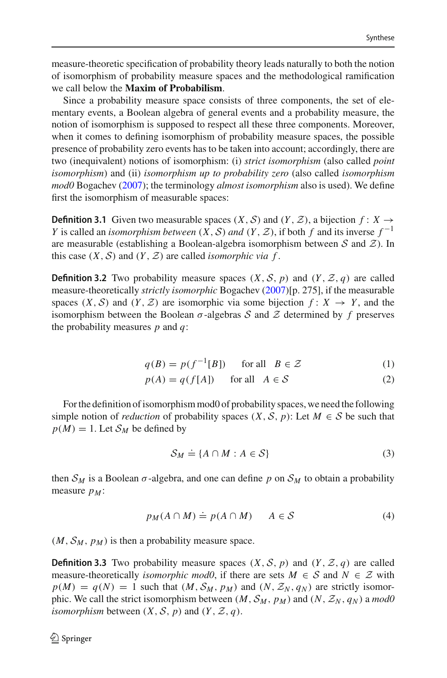measure-theoretic specification of probability theory leads naturally to both the notion of isomorphism of probability measure spaces and the methodological ramification we call below the **Maxim of Probabilism**.

Since a probability measure space consists of three components, the set of elementary events, a Boolean algebra of general events and a probability measure, the notion of isomorphism is supposed to respect all these three components. Moreover, when it comes to defining isomorphism of probability measure spaces, the possible presence of probability zero events has to be taken into account; accordingly, there are two (inequivalent) notions of isomorphism: (i) *strict isomorphism* (also called *point isomorphism*) and (ii) *isomorphism up to probability zero* (also called *isomorphism mod0* Bogache[v](#page-16-9) [\(2007](#page-16-9)); the terminology *almost isomorphism* also is used). We define first the isomorphism of measurable spaces:

**Definition 3.1** Given two measurable spaces  $(X, S)$  and  $(Y, \mathcal{Z})$ , a bijection  $f: X \rightarrow$ *Y* is called an *isomorphism between*  $(X, S)$  *and*  $(Y, Z)$ , if both *f* and its inverse  $f^{-1}$ are measurable (establishing a Boolean-algebra isomorphism between *S* and *Z*). In this case  $(X, S)$  and  $(Y, Z)$  are called *isomorphic via f*.

**Definition 3.2** Two probability measure spaces  $(X, \mathcal{S}, p)$  and  $(Y, \mathcal{Z}, q)$  are called measure-theoretically *strictly isomorphic* Bogache[v](#page-16-9) [\(2007\)](#page-16-9)[p. 275], if the measurable spaces  $(X, S)$  and  $(Y, Z)$  are isomorphic via some bijection  $f: X \rightarrow Y$ , and the isomorphism between the Boolean σ-algebras *S* and *Z* determined by *f* preserves the probability measures *p* and *q*:

$$
q(B) = p(f^{-1}[B]) \quad \text{for all} \quad B \in \mathcal{Z}
$$
 (1)

$$
p(A) = q(f[A]) \quad \text{for all} \quad A \in \mathcal{S} \tag{2}
$$

For the definition of isomorphism mod0 of probability spaces, we need the following simple notion of *reduction* of probability spaces  $(X, \mathcal{S}, p)$ : Let  $M \in \mathcal{S}$  be such that  $p(M) = 1$ . Let  $S_M$  be defined by

$$
S_M \doteq \{ A \cap M : A \in S \}
$$
 (3)

then  $S_M$  is a Boolean  $\sigma$ -algebra, and one can define p on  $S_M$  to obtain a probability measure  $p_M$ :

$$
p_M(A \cap M) \doteq p(A \cap M) \qquad A \in \mathcal{S} \tag{4}
$$

 $(M, S_M, p_M)$  is then a probability measure space.

**Definition 3.3** Two probability measure spaces  $(X, \mathcal{S}, p)$  and  $(Y, \mathcal{Z}, q)$  are called measure-theoretically *isomorphic mod0*, if there are sets  $M \in S$  and  $N \in \mathcal{Z}$  with  $p(M) = q(N) = 1$  such that  $(M, S_M, p_M)$  and  $(N, \mathcal{Z}_N, q_N)$  are strictly isomorphic. We call the strict isomorphism between  $(M, S_M, p_M)$  and  $(N, Z_N, q_N)$  a *mod0 isomorphism* between  $(X, \mathcal{S}, p)$  and  $(Y, \mathcal{Z}, q)$ .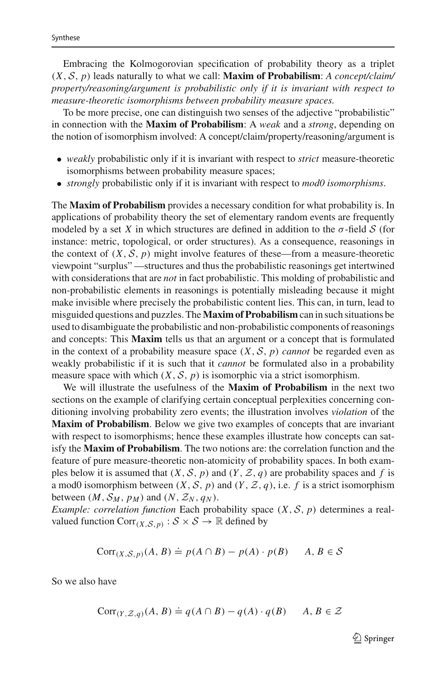Embracing the Kolmogorovian specification of probability theory as a triplet (*X*, *S*, *p*) leads naturally to what we call: **Maxim of Probabilism**: *A concept/claim/ property/reasoning/argument is probabilistic only if it is invariant with respect to measure-theoretic isomorphisms between probability measure spaces.*

To be more precise, one can distinguish two senses of the adjective "probabilistic" in connection with the **Maxim of Probabilism**: A *weak* and a *strong*, depending on the notion of isomorphism involved: A concept/claim/property/reasoning/argument is

- *weakly* probabilistic only if it is invariant with respect to *strict* measure-theoretic isomorphisms between probability measure spaces;
- *strongly* probabilistic only if it is invariant with respect to *mod0 isomorphisms*.

The **Maxim of Probabilism** provides a necessary condition for what probability is. In applications of probability theory the set of elementary random events are frequently modeled by a set X in which structures are defined in addition to the  $\sigma$ -field S (for instance: metric, topological, or order structures). As a consequence, reasonings in the context of  $(X, \mathcal{S}, p)$  might involve features of these—from a measure-theoretic viewpoint "surplus" —structures and thus the probabilistic reasonings get intertwined with considerations that are *not* in fact probabilistic. This molding of probabilistic and non-probabilistic elements in reasonings is potentially misleading because it might make invisible where precisely the probabilistic content lies. This can, in turn, lead to misguided questions and puzzles. The **Maxim of Probabilism** can in such situations be used to disambiguate the probabilistic and non-probabilistic components of reasonings and concepts: This **Maxim** tells us that an argument or a concept that is formulated in the context of a probability measure space  $(X, S, p)$  *cannot* be regarded even as weakly probabilistic if it is such that it *cannot* be formulated also in a probability measure space with which  $(X, \mathcal{S}, p)$  is isomorphic via a strict isomorphism.

We will illustrate the usefulness of the **Maxim of Probabilism** in the next two sections on the example of clarifying certain conceptual perplexities concerning conditioning involving probability zero events; the illustration involves *violation* of the **Maxim of Probabilism**. Below we give two examples of concepts that are invariant with respect to isomorphisms; hence these examples illustrate how concepts can satisfy the **Maxim of Probabilism**. The two notions are: the correlation function and the feature of pure measure-theoretic non-atomicity of probability spaces. In both examples below it is assumed that  $(X, \mathcal{S}, p)$  and  $(Y, \mathcal{Z}, q)$  are probability spaces and f is a mod0 isomorphism between  $(X, \mathcal{S}, p)$  and  $(Y, \mathcal{Z}, q)$ , i.e. *f* is a strict isomorphism between  $(M, S_M, p_M)$  and  $(N, Z_N, q_N)$ .

*Example: correlation function* Each probability space (*X*, *S*, *p*) determines a realvalued function  $Corr_{(X, \mathcal{S}, p)} : \mathcal{S} \times \mathcal{S} \rightarrow \mathbb{R}$  defined by

$$
Corr_{(X,S,p)}(A, B) \doteq p(A \cap B) - p(A) \cdot p(B) \qquad A, B \in S
$$

So we also have

$$
Corr_{(Y, \mathcal{Z}, q)}(A, B) \doteq q(A \cap B) - q(A) \cdot q(B) \qquad A, B \in \mathcal{Z}
$$

 $\mathcal{D}$  Springer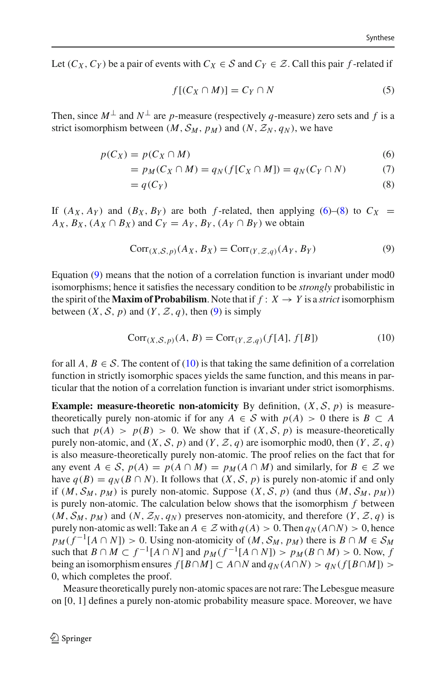Let  $(C_X, C_Y)$  be a pair of events with  $C_X \in S$  and  $C_Y \in \mathcal{Z}$ . Call this pair *f*-related if

<span id="page-9-1"></span>
$$
f[(C_X \cap M)] = C_Y \cap N \tag{5}
$$

Then, since  $M^{\perp}$  and  $N^{\perp}$  are *p*-measure (respectively *q*-measure) zero sets and *f* is a strict isomorphism between  $(M, S_M, p_M)$  and  $(N, Z_N, q_N)$ , we have

<span id="page-9-0"></span>
$$
p(C_X) = p(C_X \cap M) \tag{6}
$$

$$
= pM(CX \cap M) = qN(f[CX \cap M]) = qN(CY \cap N)
$$
 (7)

$$
=q(C_Y)
$$
 (8)

If  $(A_X, A_Y)$  and  $(B_X, B_Y)$  are both *f*-related, then applying [\(6\)](#page-9-0)–[\(8\)](#page-9-0) to  $C_X$  =  $A_X$ ,  $B_X$ ,  $(A_X \cap B_X)$  and  $C_Y = A_Y$ ,  $B_Y$ ,  $(A_Y \cap B_Y)$  we obtain

$$
Corr(X,S,p)(AX, BX) = Corr(Y,Z,q)(AY, BY)
$$
\n(9)

Equation [\(9\)](#page-9-1) means that the notion of a correlation function is invariant under mod0 isomorphisms; hence it satisfies the necessary condition to be *strongly* probabilistic in the spirit of the **Maxim of Probabilism**. Note that if  $f: X \rightarrow Y$  is a *strict* isomorphism between  $(X, \mathcal{S}, p)$  and  $(Y, \mathcal{Z}, q)$ , then [\(9\)](#page-9-1) is simply

<span id="page-9-2"></span>
$$
Corr(X, S, p)(A, B) = Corr(Y, Z, q)(f[A], f[B])
$$
\n(10)

for all  $A, B \in \mathcal{S}$ . The content of [\(10\)](#page-9-2) is that taking the same definition of a correlation function in strictly isomorphic spaces yields the same function, and this means in particular that the notion of a correlation function is invariant under strict isomorphisms.

**Example: measure-theoretic non-atomicity** By definition,  $(X, \mathcal{S}, p)$  is measuretheoretically purely non-atomic if for any  $A \in S$  with  $p(A) > 0$  there is  $B \subset A$ such that  $p(A) > p(B) > 0$ . We show that if  $(X, S, p)$  is measure-theoretically purely non-atomic, and  $(X, \mathcal{S}, p)$  and  $(Y, \mathcal{Z}, q)$  are isomorphic mod0, then  $(Y, \mathcal{Z}, q)$ is also measure-theoretically purely non-atomic. The proof relies on the fact that for any event  $A \in S$ ,  $p(A) = p(A \cap M) = p_M(A \cap M)$  and similarly, for  $B \in \mathcal{Z}$  we have  $q(B) = q_N(B \cap N)$ . It follows that  $(X, S, p)$  is purely non-atomic if and only if  $(M, S_M, p_M)$  is purely non-atomic. Suppose  $(X, S, p)$  (and thus  $(M, S_M, p_M)$ ) is purely non-atomic. The calculation below shows that the isomorphism *f* between  $(M, S_M, p_M)$  and  $(N, \mathcal{Z}_N, q_N)$  preserves non-atomicity, and therefore  $(Y, \mathcal{Z}, q)$  is purely non-atomic as well: Take an  $A \in \mathcal{Z}$  with  $q(A) > 0$ . Then  $q_N(A \cap N) > 0$ , hence  $p_M(f^{-1}[A \cap N]) > 0$ . Using non-atomicity of  $(M, S_M, p_M)$  there is  $B \cap M \in S_M$ such that  $B \cap M \subset f^{-1}[A \cap N]$  and  $p_M(f^{-1}[A \cap N]) > p_M(B \cap M) > 0$ . Now, f being an isomorphism ensures  $f[B \cap M] \subset A \cap N$  and  $q_N(A \cap N) > q_N(f[B \cap M]) >$ 0, which completes the proof.

<span id="page-9-3"></span>Measure theoretically purely non-atomic spaces are not rare: The Lebesgue measure on [0, 1] defines a purely non-atomic probability measure space. Moreover, we have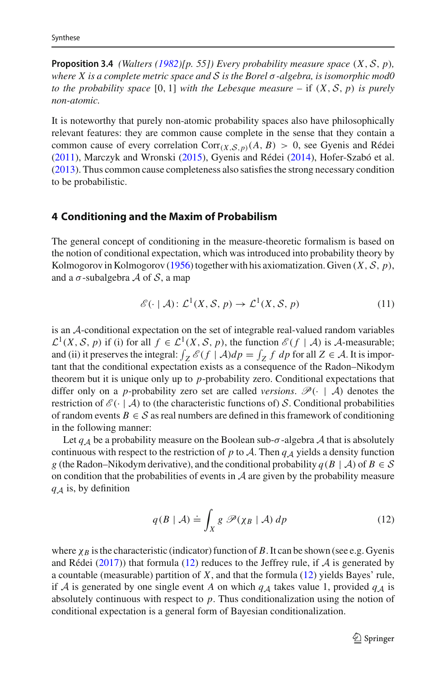**Propo[s](#page-17-7)ition 3.4** *(Walters [\(1982\)](#page-17-7)[p. 55]) Every probability measure space*  $(X, \mathcal{S}, p)$ *, where X is a complete metric space and S is the Borel* σ*-algebra, is isomorphic mod0 to the probability space* [0, 1] *with the Lebesque measure* – if  $(X, \mathcal{S}, p)$  *is purely non-atomic.*

It is noteworthy that purely non-atomic probability spaces also have philosophically relevant features: they are common cause complete in the sense that they contain a common cause of every correlat[i](#page-16-10)on  $Corr_{(X,S,p)}(A, B) > 0$ , see Gyenis and Rédei [\(2011\)](#page-16-10), Marczyk and Wronsk[i](#page-16-11) [\(2015\)](#page-16-11), Gyenis and Réde[i](#page-16-12) [\(2014\)](#page-16-12), Hofer-Szabó et al[.](#page-16-3) [\(2013\)](#page-16-3). Thus common cause completeness also satisfies the strong necessary condition to be probabilistic.

#### <span id="page-10-0"></span>**4 Conditioning and the Maxim of Probabilism**

The general concept of conditioning in the measure-theoretic formalism is based on the notion of conditional expectation, which was introduced into probability theory by Kolmogorov in Kolmogoro[v](#page-16-6) [\(1956](#page-16-6)) together with his axiomatization. Given (*X*, *S*, *p*), and a σ-subalgebra *A* of *S*, a map

$$
\mathcal{E}(\cdot \mid \mathcal{A})\colon \mathcal{L}^1(X, \mathcal{S}, p) \to \mathcal{L}^1(X, \mathcal{S}, p) \tag{11}
$$

is an *A*-conditional expectation on the set of integrable real-valued random variables *L*<sup>1</sup>(*X*, *S*, *p*) if (i) for all *f* ∈ *L*<sup>1</sup>(*X*, *S*, *p*), the function  $\mathcal{E}(f \mid \mathcal{A})$  is *A*-measurable; and (ii) it preserves the integral:  $\int_Z \mathcal{E}(f | \mathcal{A}) dp = \int_Z f dp$  for all  $Z \in \mathcal{A}$ . It is important that the conditional expectation exists as a consequence of the Radon–Nikodym theorem but it is unique only up to *p*-probability zero. Conditional expectations that differ only on a *p*-probability zero set are called *versions*.  $\mathcal{P}(\cdot | \mathcal{A})$  denotes the restriction of  $\mathcal{E}(\cdot | \mathcal{A})$  to (the characteristic functions of) *S*. Conditional probabilities of random events  $B \in \mathcal{S}$  as real numbers are defined in this framework of conditioning in the following manner:

Let  $q_A$  be a probability measure on the Boolean sub- $\sigma$ -algebra  $A$  that is absolutely continuous with respect to the restriction of *p* to *A*. Then  $q_A$  yields a density function *g* (the Radon–Nikodym derivative), and the conditional probability  $q(B \mid A)$  of  $B \in S$ on condition that the probabilities of events in *A* are given by the probability measure *q<sup>A</sup>* is, by definition

<span id="page-10-1"></span>
$$
q(B \mid \mathcal{A}) \doteq \int_{X} g \, \mathscr{P}(\chi_{B} \mid \mathcal{A}) \, dp \tag{12}
$$

where  $\chi_B$  is the characteristic (indicator) function of *B*. It can be shown (see e.g. Gyenis and Réde[i](#page-16-13) [\(2017](#page-16-13))) that formula [\(12\)](#page-10-1) reduces to the Jeffrey rule, if  $A$  is generated by a countable (measurable) partition of *X*, and that the formula [\(12\)](#page-10-1) yields Bayes' rule, if *A* is generated by one single event *A* on which  $q_A$  takes value 1, provided  $q_A$  is absolutely continuous with respect to *p*. Thus conditionalization using the notion of conditional expectation is a general form of Bayesian conditionalization.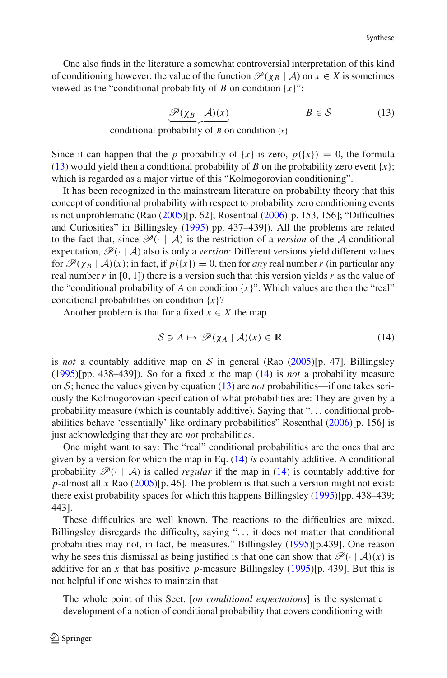One also finds in the literature a somewhat controversial interpretation of this kind of conditioning however: the value of the function  $\mathcal{P}(\chi_B | \mathcal{A})$  on  $x \in X$  is sometimes viewed as the "conditional probability of *B* on condition  $\{x\}$ ":

$$
\underbrace{\mathcal{P}(\chi_B \mid \mathcal{A})(x)}_{\mathcal{B} \in \mathcal{S}} \qquad B \in \mathcal{S} \tag{13}
$$

<span id="page-11-0"></span>conditional probability of *B* on condition  $\{x\}$ 

Since it can happen that the *p*-probability of  $\{x\}$  is zero,  $p(\{x\}) = 0$ , the formula [\(13\)](#page-11-0) would yield then a conditional probability of *B* on the probability zero event  $\{x\}$ ; which is regarded as a major virtue of this "Kolmogorovian conditioning".

It has been recognized in the mainstream literature on probability theory that this concept of conditional probability with respect to probability zero conditioning events is not unproblematic (Ra[o](#page-16-14) [\(2005](#page-16-14))[p. 62]; Rosentha[l](#page-17-8) [\(2006\)](#page-17-8)[p. 153, 156]; "Difficulties and Curiosities" in Billingsle[y](#page-16-15) [\(1995\)](#page-16-15)[pp. 437–439]). All the problems are related to the fact that, since  $\mathscr{P}(\cdot \mid \mathcal{A})$  is the restriction of a *version* of the *A*-conditional expectation,  $\mathcal{P}(\cdot | A)$  also is only a *version*: Different versions yield different values for  $\mathcal{P}(\chi_B | \mathcal{A})(x)$ ; in fact, if  $p({x}) = 0$ , then for *any* real number r (in particular any real number  $r$  in [0, 1]) there is a version such that this version yields  $r$  as the value of the "conditional probability of *A* on condition  $\{x\}$ ". Which values are then the "real" conditional probabilities on condition {*x*}?

Another problem is that for a fixed  $x \in X$  the map

<span id="page-11-1"></span>
$$
S \ni A \mapsto \mathscr{P}(\chi_A \mid \mathcal{A})(x) \in \mathbb{R} \tag{14}
$$

is *not* a countably additive map on *S* in general (Rao [\(2005](#page-16-14))[p. 47], Billingsley [\(1995\)](#page-16-15)[pp. 438–439]). So for a fixed *x* the map [\(14\)](#page-11-1) is *not* a probability measure on *S*; hence the values given by equation [\(13\)](#page-11-0) are *not* probabilities—if one takes seriously the Kolmogorovian specification of what probabilities are: They are given by a probability measure (which is countably additive). Saying that "... conditional probabilities behave 'essentially' like ordinary probabilities" Rosentha[l](#page-17-8) [\(2006\)](#page-17-8)[p. 156] is just acknowledging that they are *not* probabilities.

One might want to say: The "real" conditional probabilities are the ones that are given by a version for which the map in Eq. [\(14\)](#page-11-1) *is* countably additive. A conditional probability  $\mathcal{P}(\cdot \mid \mathcal{A})$  is called *regular* if the map in [\(14\)](#page-11-1) is countably additive for *p*-almost all *x* Ra[o](#page-16-14) [\(2005\)](#page-16-14)[p. 46]. The problem is that such a version might not exist: there exist probability spaces for which this happens Billingsle[y](#page-16-15) [\(1995](#page-16-15))[pp. 438–439; 443].

These difficulties are well known. The reactions to the difficulties are mixed. Billingsley disregards the difficulty, saying "... it does not matter that conditional probabilities may not, in fact, be measures." Billingsle[y](#page-16-15) [\(1995](#page-16-15))[p.439]. One reason why he sees this dismissal as being justified is that one can show that  $\mathcal{P}(\cdot | \mathcal{A})(x)$  is additive for an x that has positive p-measure Billingsle[y](#page-16-15)  $(1995)$ [p. 439]. But this is not helpful if one wishes to maintain that

The whole point of this Sect. [*on conditional expectations*] is the systematic development of a notion of conditional probability that covers conditioning with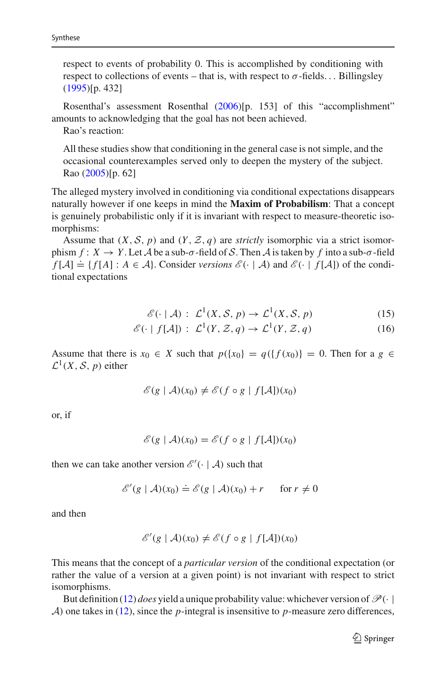respect to events of probability 0. This is accomplished by conditioning with respect to collections of events – that is, with respect to  $\sigma$ -fields... Billingsle[y](#page-16-15) [\(1995](#page-16-15))[p. 432]

Rosenthal's assessment Rosentha[l](#page-17-8) [\(2006](#page-17-8))[p. 153] of this "accomplishment" amounts to acknowledging that the goal has not been achieved.

Rao's reaction:

All these studies show that conditioning in the general case is not simple, and the occasional counterexamples served only to deepen the mystery of the subject. Ra[o](#page-16-14) [\(2005\)](#page-16-14)[p. 62]

The alleged mystery involved in conditioning via conditional expectations disappears naturally however if one keeps in mind the **Maxim of Probabilism**: That a concept is genuinely probabilistic only if it is invariant with respect to measure-theoretic isomorphisms:

Assume that  $(X, \mathcal{S}, p)$  and  $(Y, \mathcal{Z}, q)$  are *strictly* isomorphic via a strict isomorphism  $f: X \to Y$ . Let *A* be a sub- $\sigma$ -field of *S*. Then *A* is taken by f into a sub- $\sigma$ -field *f* [*A*]  $\div$  *f f f A*]. Consider *versions*  $\mathcal{E}(\cdot | A)$  and  $\mathcal{E}(\cdot | f(A))$  of the conditional expectations

$$
\mathcal{E}(\cdot \mid \mathcal{A}): \mathcal{L}^1(X, \mathcal{S}, p) \to \mathcal{L}^1(X, \mathcal{S}, p) \tag{15}
$$

$$
\mathcal{E}(\cdot \mid f[\mathcal{A}]): \mathcal{L}^1(Y, \mathcal{Z}, q) \to \mathcal{L}^1(Y, \mathcal{Z}, q) \tag{16}
$$

Assume that there is  $x_0 \in X$  such that  $p({x_0}) = q({f(x_0)}) = 0$ . Then for a  $g \in X$  $\mathcal{L}^1(X, \mathcal{S}, p)$  either

$$
\mathscr{E}(g \mid \mathcal{A})(x_0) \neq \mathscr{E}(f \circ g \mid f[\mathcal{A}])(x_0)
$$

or, if

$$
\mathscr{E}(g \mid \mathcal{A})(x_0) = \mathscr{E}(f \circ g \mid f[\mathcal{A}])(x_0)
$$

then we can take another version  $\mathscr{E}'(\cdot \mid \mathcal{A})$  such that

$$
\mathscr{E}'(g \mid \mathcal{A})(x_0) \doteq \mathscr{E}(g \mid \mathcal{A})(x_0) + r \quad \text{for } r \neq 0
$$

and then

$$
\mathscr{E}'(g \mid \mathcal{A})(x_0) \neq \mathscr{E}(f \circ g \mid f[\mathcal{A}])(x_0)
$$

This means that the concept of a *particular version* of the conditional expectation (or rather the value of a version at a given point) is not invariant with respect to strict isomorphisms.

But definition [\(12\)](#page-10-1) *does* yield a unique probability value: whichever version of  $\mathcal{P}(\cdot |$ *A*) one takes in [\(12\)](#page-10-1), since the *p*-integral is insensitive to *p*-measure zero differences,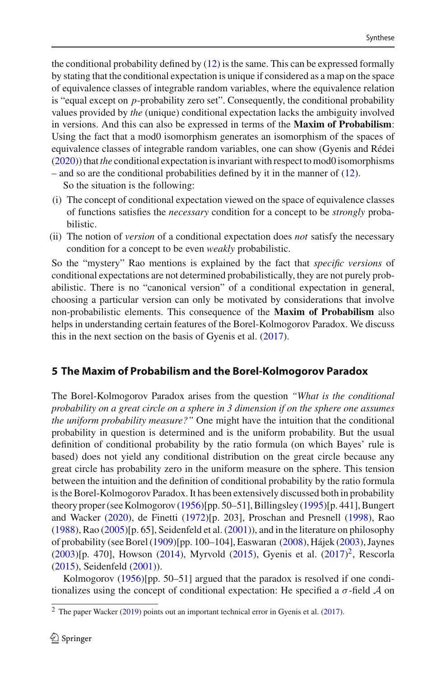the conditional probability defined by  $(12)$  is the same. This can be expressed formally by stating that the conditional expectation is unique if considered as a map on the space of equivalence classes of integrable random variables, where the equivalence relation is "equal except on *p*-probability zero set". Consequently, the conditional probability values provided by *the* (unique) conditional expectation lacks the ambiguity involved in versions. And this can also be expressed in terms of the **Maxim of Probabilism**: Using the fact that a mod0 isomorphism generates an isomorphism of the spaces of equivalence classes of integrable random variables, one can show (Gyenis and Réde[i](#page-16-16) [\(2020\)](#page-16-16)) that *the* conditional expectation is invariant with respect to mod0 isomorphisms – and so are the conditional probabilities defined by it in the manner of [\(12\)](#page-10-1).

So the situation is the following:

- (i) The concept of conditional expectation viewed on the space of equivalence classes of functions satisfies the *necessary* condition for a concept to be *strongly* probabilistic.
- (ii) The notion of *version* of a conditional expectation does *not* satisfy the necessary condition for a concept to be even *weakly* probabilistic.

So the "mystery" Rao mentions is explained by the fact that *specific versions* of conditional expectations are not determined probabilistically, they are not purely probabilistic. There is no "canonical version" of a conditional expectation in general, choosing a particular version can only be motivated by considerations that involve non-probabilistic elements. This consequence of the **Maxim of Probabilism** also helps in understanding certain features of the Borel-Kolmogorov Paradox. We discuss this in the next section on the basis of Gyenis et al[.](#page-16-17) [\(2017\)](#page-16-17).

# <span id="page-13-0"></span>**5 The Maxim of Probabilism and the Borel-Kolmogorov Paradox**

The Borel-Kolmogorov Paradox arises from the question *"What is the conditional probability on a great circle on a sphere in 3 dimension if on the sphere one assumes the uniform probability measure?"* One might have the intuition that the conditional probability in question is determined and is the uniform probability. But the usual definition of conditional probability by the ratio formula (on which Bayes' rule is based) does not yield any conditional distribution on the great circle because any great circle has probability zero in the uniform measure on the sphere. This tension between the intuition and the definition of conditional probability by the ratio formula is the Borel-Kolmogorov Paradox. It has been extensively discussed both in probability theory proper (see Kolmogoro[v](#page-16-6) [\(1956](#page-16-6))[pp. 50–51], Billingsle[y](#page-16-15) [\(1995](#page-16-15))[p. 441], Bungert and Wacke[r](#page-16-18) [\(2020](#page-16-18)), de Finett[i](#page-16-19) [\(1972](#page-16-19))[p. 203], Proschan and Presnel[l](#page-16-20) [\(1998](#page-16-20)), Ra[o](#page-16-21)  $(1988)$ , Ra[o](#page-16-14)  $(2005)$ [p[.](#page-17-9) 65], Seidenfeld et al.  $(2001)$ ), and in the literature on philosophy of probability (see Bore[l](#page-16-22) [\(1909](#page-16-22))[pp. 100–104], Easwaran [\(2008](#page-16-23)), Háje[k](#page-16-24) [\(2003](#page-16-24)), Jayne[s](#page-16-25) [\(2003\)](#page-16-25)[p. 470], Howso[n](#page-16-26) [\(2014](#page-16-26)), Myrvol[d](#page-16-27) [\(2015\)](#page-16-27), Gyenis et al[.](#page-16-17) [\(2017](#page-16-17))<sup>2</sup>, Rescorl[a](#page-17-10) [\(2015\)](#page-17-10), Seidenfel[d](#page-17-11) [\(2001\)](#page-17-11)).

Kolmogoro[v](#page-16-6) [\(1956\)](#page-16-6)[pp. 50–51] argued that the paradox is resolved if one conditionalizes using the concept of conditional expectation: He specified a  $\sigma$ -field  $\mathcal A$  on

<span id="page-13-1"></span> $2$  The pape[r](#page-17-12) Wacker [\(2019](#page-17-12)) points out an important technical error in Gyenis et al[.](#page-16-17) [\(2017](#page-16-17)).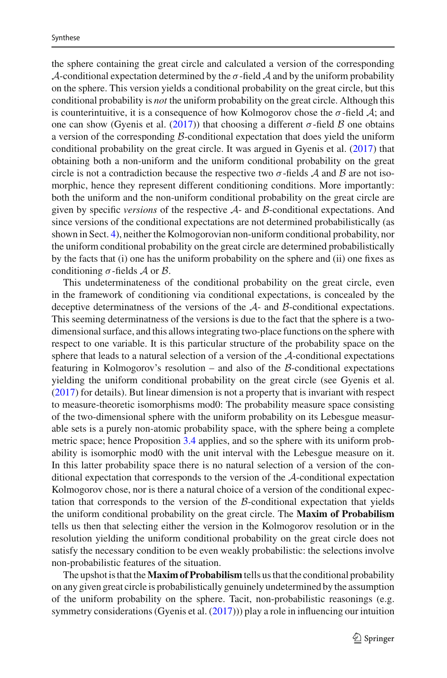the sphere containing the great circle and calculated a version of the corresponding *A*-conditional expectation determined by the  $\sigma$ -field *A* and by the uniform probability on the sphere. This version yields a conditional probability on the great circle, but this conditional probability is *not* the uniform probability on the great circle. Although this is counterintuitive, it is a consequence of how Kolmogorov chose the  $\sigma$ -field  $\mathcal{A}$ ; and one can show (Gyenis et al[.](#page-16-17)  $(2017)$ ) that choosing a different  $\sigma$ -field *B* one obtains a version of the corresponding *B*-conditional expectation that does yield the uniform conditional probability on the great circle. It was argued in Gyenis et al[.](#page-16-17) [\(2017\)](#page-16-17) that obtaining both a non-uniform and the uniform conditional probability on the great circle is not a contradiction because the respective two  $\sigma$ -fields *A* and *B* are not isomorphic, hence they represent different conditioning conditions. More importantly: both the uniform and the non-uniform conditional probability on the great circle are given by specific *versions* of the respective *A*- and *B*-conditional expectations. And since versions of the conditional expectations are not determined probabilistically (as shown in Sect. [4\)](#page-10-0), neither the Kolmogorovian non-uniform conditional probability, nor the uniform conditional probability on the great circle are determined probabilistically by the facts that (i) one has the uniform probability on the sphere and (ii) one fixes as conditioning σ-fields *A* or *B*.

This undeterminateness of the conditional probability on the great circle, even in the framework of conditioning via conditional expectations, is concealed by the deceptive determinatness of the versions of the *A*- and *B*-conditional expectations. This seeming determinatness of the versions is due to the fact that the sphere is a twodimensional surface, and this allows integrating two-place functions on the sphere with respect to one variable. It is this particular structure of the probability space on the sphere that leads to a natural selection of a version of the *A*-conditional expectations featuring in Kolmogorov's resolution – and also of the *B*-conditional expectations yielding the uniform conditional probability on the great circle (see Gyenis et al[.](#page-16-17) [\(2017\)](#page-16-17) for details). But linear dimension is not a property that is invariant with respect to measure-theoretic isomorphisms mod0: The probability measure space consisting of the two-dimensional sphere with the uniform probability on its Lebesgue measurable sets is a purely non-atomic probability space, with the sphere being a complete metric space; hence Proposition [3.4](#page-9-3) applies, and so the sphere with its uniform probability is isomorphic mod0 with the unit interval with the Lebesgue measure on it. In this latter probability space there is no natural selection of a version of the conditional expectation that corresponds to the version of the *A*-conditional expectation Kolmogorov chose, nor is there a natural choice of a version of the conditional expectation that corresponds to the version of the *B*-conditional expectation that yields the uniform conditional probability on the great circle. The **Maxim of Probabilism** tells us then that selecting either the version in the Kolmogorov resolution or in the resolution yielding the uniform conditional probability on the great circle does not satisfy the necessary condition to be even weakly probabilistic: the selections involve non-probabilistic features of the situation.

The upshot is that the**Maxim of Probabilism** tells us that the conditional probability on any given great circle is probabilistically genuinely undetermined by the assumption of the uniform probability on the sphere. Tacit, non-probabilistic reasonings (e.g. symmetry considerations (Gyenis et al[.](#page-16-17)  $(2017)$ )) play a role in influencing our intuition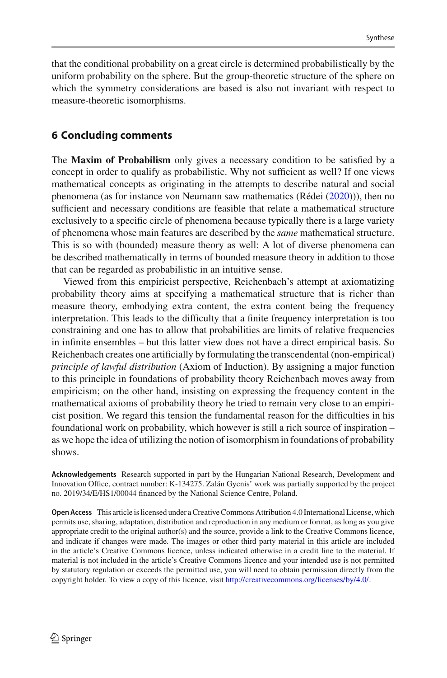that the conditional probability on a great circle is determined probabilistically by the uniform probability on the sphere. But the group-theoretic structure of the sphere on which the symmetry considerations are based is also not invariant with respect to measure-theoretic isomorphisms.

### **6 Concluding comments**

The **Maxim of Probabilism** only gives a necessary condition to be satisfied by a concept in order to qualify as probabilistic. Why not sufficient as well? If one views mathematical concepts as originating in the attempts to describe natural and social phenomena (as for instance von Neumann saw mathematics (Réde[i](#page-16-28) [\(2020\)](#page-16-28))), then no sufficient and necessary conditions are feasible that relate a mathematical structure exclusively to a specific circle of phenomena because typically there is a large variety of phenomena whose main features are described by the *same* mathematical structure. This is so with (bounded) measure theory as well: A lot of diverse phenomena can be described mathematically in terms of bounded measure theory in addition to those that can be regarded as probabilistic in an intuitive sense.

Viewed from this empiricist perspective, Reichenbach's attempt at axiomatizing probability theory aims at specifying a mathematical structure that is richer than measure theory, embodying extra content, the extra content being the frequency interpretation. This leads to the difficulty that a finite frequency interpretation is too constraining and one has to allow that probabilities are limits of relative frequencies in infinite ensembles – but this latter view does not have a direct empirical basis. So Reichenbach creates one artificially by formulating the transcendental (non-empirical) *principle of lawful distribution* (Axiom of Induction). By assigning a major function to this principle in foundations of probability theory Reichenbach moves away from empiricism; on the other hand, insisting on expressing the frequency content in the mathematical axioms of probability theory he tried to remain very close to an empiricist position. We regard this tension the fundamental reason for the difficulties in his foundational work on probability, which however is still a rich source of inspiration – as we hope the idea of utilizing the notion of isomorphism in foundations of probability shows.

**Acknowledgements** Research supported in part by the Hungarian National Research, Development and Innovation Office, contract number: K-134275. Zalán Gyenis' work was partially supported by the project no. 2019/34/E/HS1/00044 financed by the National Science Centre, Poland.

**Open Access** This article is licensed under a Creative Commons Attribution 4.0 International License, which permits use, sharing, adaptation, distribution and reproduction in any medium or format, as long as you give appropriate credit to the original author(s) and the source, provide a link to the Creative Commons licence, and indicate if changes were made. The images or other third party material in this article are included in the article's Creative Commons licence, unless indicated otherwise in a credit line to the material. If material is not included in the article's Creative Commons licence and your intended use is not permitted by statutory regulation or exceeds the permitted use, you will need to obtain permission directly from the copyright holder. To view a copy of this licence, visit [http://creativecommons.org/licenses/by/4.0/.](http://creativecommons.org/licenses/by/4.0/)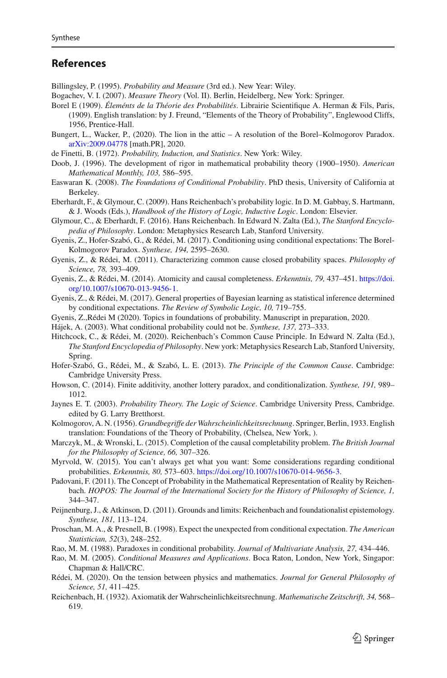### **References**

<span id="page-16-15"></span>Billingsley, P. (1995). *Probability and Measure* (3rd ed.). New Year: Wiley.

- <span id="page-16-9"></span>Bogachev, V. I. (2007). *Measure Theory* (Vol. II). Berlin, Heidelberg, New York: Springer.
- <span id="page-16-22"></span>Borel E (1909). *Éleménts de la Théorie des Probabilités*. Librairie Scientifique A. Herman & Fils, Paris, (1909). English translation: by J. Freund, "Elements of the Theory of Probability", Englewood Cliffs, 1956, Prentice-Hall.
- <span id="page-16-18"></span>Bungert, L., Wacker, P., (2020). The lion in the attic – A resolution of the Borel–Kolmogorov Paradox. [arXiv:2009.04778](http://arxiv.org/abs/2009.04778) [math.PR], 2020.
- <span id="page-16-19"></span>de Finetti, B. (1972). *Probability, Induction, and Statistics*. New York: Wiley.
- <span id="page-16-8"></span>Doob, J. (1996). The development of rigor in mathematical probability theory (1900–1950). *American Mathematical Monthly, 103,* 586–595.
- <span id="page-16-23"></span>Easwaran K. (2008). *The Foundations of Conditional Probability*. PhD thesis, University of California at Berkeley.
- <span id="page-16-5"></span>Eberhardt, F., & Glymour, C. (2009). Hans Reichenbach's probability logic. In D. M. Gabbay, S. Hartmann, & J. Woods (Eds.), *Handbook of the History of Logic, Inductive Logic*. London: Elsevier.
- <span id="page-16-1"></span>Glymour, C., & Eberhardt, F. (2016). Hans Reichenbach. In Edward N. Zalta (Ed.), *The Stanford Encyclopedia of Philosophy*. London: Metaphysics Research Lab, Stanford University.
- <span id="page-16-17"></span>Gyenis, Z., Hofer-Szabó, G., & Rédei, M. (2017). Conditioning using conditional expectations: The Borel-Kolmogorov Paradox. *Synthese, 194,* 2595–2630.
- <span id="page-16-10"></span>Gyenis, Z., & Rédei, M. (2011). Characterizing common cause closed probability spaces. *Philosophy of Science, 78,* 393–409.
- <span id="page-16-12"></span>Gyenis, Z., & Rédei, M. (2014). Atomicity and causal completeness. *Erkenntnis, 79,* 437–451. [https://doi.](https://doi.org/10.1007/s10670-013-9456-1) [org/10.1007/s10670-013-9456-1.](https://doi.org/10.1007/s10670-013-9456-1)
- <span id="page-16-13"></span>Gyenis, Z., & Rédei, M. (2017). General properties of Bayesian learning as statistical inference determined by conditional expectations. *The Review of Symbolic Logic, 10,* 719–755.
- <span id="page-16-16"></span>Gyenis, Z.,Rédei M (2020). Topics in foundations of probability. Manuscript in preparation, 2020.
- <span id="page-16-24"></span>Hájek, A. (2003). What conditional probability could not be. *Synthese, 137,* 273–333.
- <span id="page-16-2"></span>Hitchcock, C., & Rédei, M. (2020). Reichenbach's Common Cause Principle. In Edward N. Zalta (Ed.), *The Stanford Encyclopedia of Philosophy*. New york: Metaphysics Research Lab, Stanford University, Spring.
- <span id="page-16-3"></span>Hofer-Szabó, G., Rédei, M., & Szabó, L. E. (2013). *The Principle of the Common Cause*. Cambridge: Cambridge University Press.
- <span id="page-16-26"></span>Howson, C. (2014). Finite additivity, another lottery paradox, and conditionalization. *Synthese, 191,* 989– 1012.
- <span id="page-16-25"></span>Jaynes E. T. (2003). *Probability Theory. The Logic of Science*. Cambridge University Press, Cambridge. edited by G. Larry Bretthorst.
- <span id="page-16-6"></span>Kolmogorov, A. N. (1956). *Grundbegriffe der Wahrscheinlichkeitsrechnung*. Springer, Berlin, 1933. English translation: Foundations of the Theory of Probability, (Chelsea, New York, ).
- <span id="page-16-11"></span>Marczyk, M., & Wronski, L. (2015). Completion of the causal completability problem. *The British Journal for the Philosophy of Science, 66,* 307–326.
- <span id="page-16-27"></span>Myrvold, W. (2015). You can't always get what you want: Some considerations regarding conditional probabilities. *Erkenntnis, 80,* 573–603. [https://doi.org/10.1007/s10670-014-9656-3.](https://doi.org/10.1007/s10670-014-9656-3)
- <span id="page-16-0"></span>Padovani, F. (2011). The Concept of Probability in the Mathematical Representation of Reality by Reichenbach. *HOPOS: The Journal of the International Society for the History of Philosophy of Science, 1,* 344–347.
- <span id="page-16-7"></span>Peijnenburg, J., & Atkinson, D. (2011). Grounds and limits: Reichenbach and foundationalist epistemology. *Synthese, 181,* 113–124.
- <span id="page-16-20"></span>Proschan, M. A., & Presnell, B. (1998). Expect the unexpected from conditional expectation. *The American Statistician, 52*(3), 248–252.
- <span id="page-16-21"></span>Rao, M. M. (1988). Paradoxes in conditional probability. *Journal of Multivariate Analysis, 27,* 434–446.
- <span id="page-16-14"></span>Rao, M. M. (2005). *Conditional Measures and Applications*. Boca Raton, London, New York, Singapor: Chapman & Hall/CRC.
- <span id="page-16-28"></span>Rédei, M. (2020). On the tension between physics and mathematics. *Journal for General Philosophy of Science, 51,* 411–425.
- <span id="page-16-4"></span>Reichenbach, H. (1932). Axiomatik der Wahrscheinlichkeitsrechnung. *Mathematische Zeitschrift, 34,* 568– 619.